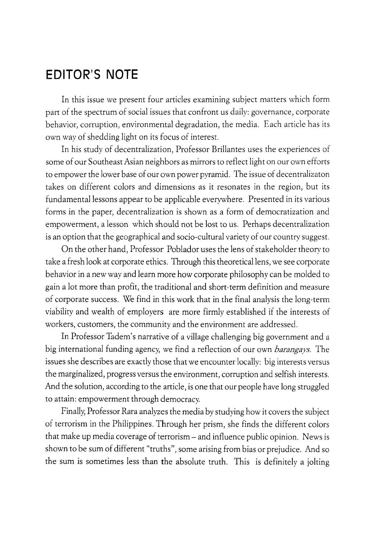## **EDITOR'S NOTE**

In this issue we present four articles examining subject matters which form part of the spectrum of social issues that confront us daily: governance, corporate behavior, corruption, environmental degradation, the media. Each article has its own way of shedding light on its focus of interest.

In his study of decentralization, Professor Brillantes uses the experiences of some of our Southeast Asian neighbors as mirrors to reflect light on our own efforts to empower the lower base of our own power pyramid. The issue of decentralizaton takes on different colors and dimensions as it resonates in the region, but its fundamental lessons appear to be applicable everywhere. Presented in its various forms in the paper, decentralization is shown as a form of democratization and empowerment, a lesson which should not be lost to us. Perhaps decentralization is an option that the geographical and socio-cultural variety of our country suggest.

On the other hand, Professor Poblador uses the lens of stakeholder theory to take a fresh look at corporate ethics. Through this theoretical lens, we see corporate behavior in a new way and learn more how corporate philosophy can be molded to gain a lot more than profit, the traditional and short-term definition and measure of corporate success. We find in this work that in the final analysis the long-term viability and wealth of employers are more firmly established if the interests of workers, customers, the community and the environment are addressed.

In Professor Tadem's narrative of a village challenging big government and a big international funding agency, we find a reflection of our own *barangays.* The issues she describes are exactly those that we encounter locally: big interests versus the marginalized, progress versus the environment, corruption and selfish interests. And the solution, according to the article, is one that our people have long struggled to attain: empowerment through democracy.

Finally, Professor Rara analyzes the media by studying how it covers the subject of terrorism in the Philippines. Through her prism, she finds the different colors that make up media coverage of terrorism- and influence public opinion. News is shown to be sum of different "truths", some arising from bias or prejudice. And so the sum is sometimes less than the absolute truth. This is definitely a jolting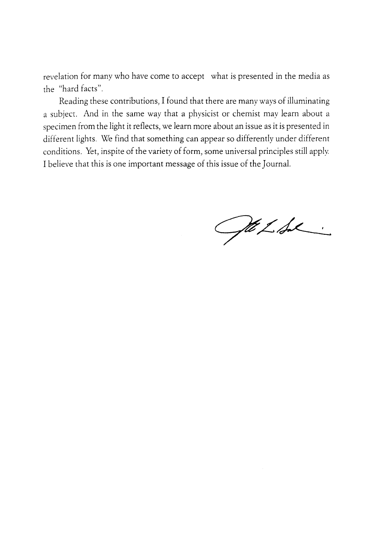revelation for many who have come to accept what is presented in the media as the "hard facts".

Reading these contributions, I found that there are many ways of illuminating a subject. And in the same way that a physicist or chemist may learn about a specimen from the light it reflects, we learn more about an issue as it is presented in different lights. We find that something can appear so differently under different conditions. Yet, inspite of the variety of form, some universal principles still apply. I believe that this is one important message of this issue of the Journal.

Gte LAL